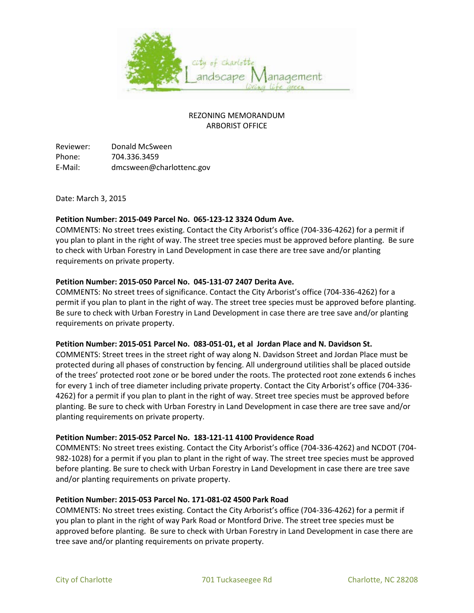

# REZONING MEMORANDUM ARBORIST OFFICE

Reviewer: Donald McSween Phone: 704.336.3459 E-Mail: dmcsween@charlottenc.gov

Date: March 3, 2015

## **Petition Number: 2015-049 Parcel No. 065-123-12 3324 Odum Ave.**

COMMENTS: No street trees existing. Contact the City Arborist's office (704-336-4262) for a permit if you plan to plant in the right of way. The street tree species must be approved before planting. Be sure to check with Urban Forestry in Land Development in case there are tree save and/or planting requirements on private property.

## **Petition Number: 2015-050 Parcel No. 045-131-07 2407 Derita Ave.**

COMMENTS: No street trees of significance. Contact the City Arborist's office (704-336-4262) for a permit if you plan to plant in the right of way. The street tree species must be approved before planting. Be sure to check with Urban Forestry in Land Development in case there are tree save and/or planting requirements on private property.

#### **Petition Number: 2015-051 Parcel No. 083-051-01, et al Jordan Place and N. Davidson St.**

COMMENTS: Street trees in the street right of way along N. Davidson Street and Jordan Place must be protected during all phases of construction by fencing. All underground utilities shall be placed outside of the trees' protected root zone or be bored under the roots. The protected root zone extends 6 inches for every 1 inch of tree diameter including private property. Contact the City Arborist's office (704-336- 4262) for a permit if you plan to plant in the right of way. Street tree species must be approved before planting. Be sure to check with Urban Forestry in Land Development in case there are tree save and/or planting requirements on private property.

#### **Petition Number: 2015-052 Parcel No. 183-121-11 4100 Providence Road**

COMMENTS: No street trees existing. Contact the City Arborist's office (704-336-4262) and NCDOT (704- 982-1028) for a permit if you plan to plant in the right of way. The street tree species must be approved before planting. Be sure to check with Urban Forestry in Land Development in case there are tree save and/or planting requirements on private property.

#### **Petition Number: 2015-053 Parcel No. 171-081-02 4500 Park Road**

COMMENTS: No street trees existing. Contact the City Arborist's office (704-336-4262) for a permit if you plan to plant in the right of way Park Road or Montford Drive. The street tree species must be approved before planting. Be sure to check with Urban Forestry in Land Development in case there are tree save and/or planting requirements on private property.